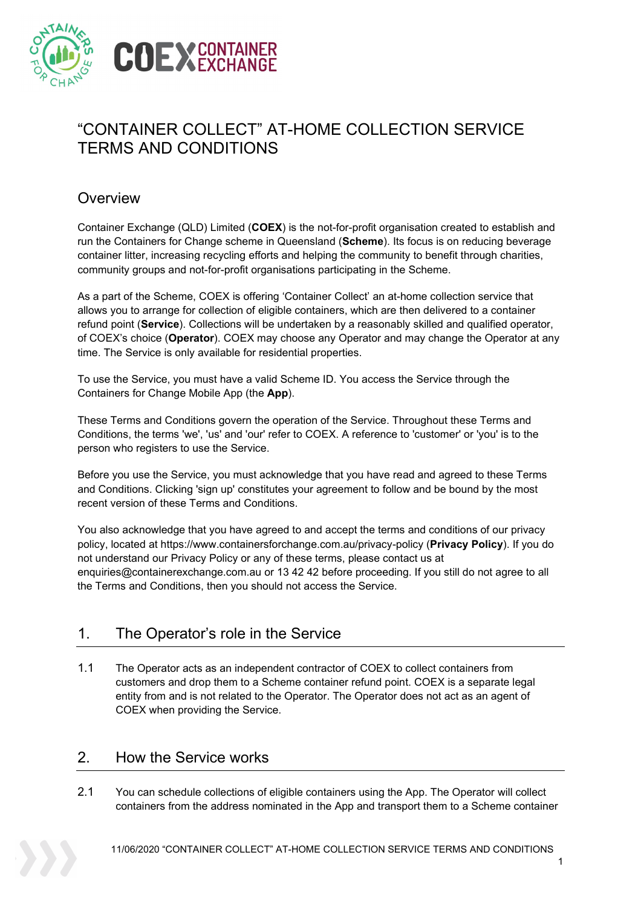

# "CONTAINER COLLECT" AT-HOME COLLECTION SERVICE TERMS AND CONDITIONS

### **Overview**

Container Exchange (QLD) Limited (**COEX**) is the not-for-profit organisation created to establish and run the Containers for Change scheme in Queensland (**Scheme**). Its focus is on reducing beverage container litter, increasing recycling efforts and helping the community to benefit through charities, community groups and not-for-profit organisations participating in the Scheme.

As a part of the Scheme, COEX is offering 'Container Collect' an at-home collection service that allows you to arrange for collection of eligible containers, which are then delivered to a container refund point (**Service**). Collections will be undertaken by a reasonably skilled and qualified operator, of COEX's choice (**Operator**). COEX may choose any Operator and may change the Operator at any time. The Service is only available for residential properties.

To use the Service, you must have a valid Scheme ID. You access the Service through the Containers for Change Mobile App (the **App**).

These Terms and Conditions govern the operation of the Service. Throughout these Terms and Conditions, the terms 'we', 'us' and 'our' refer to COEX. A reference to 'customer' or 'you' is to the person who registers to use the Service.

Before you use the Service, you must acknowledge that you have read and agreed to these Terms and Conditions. Clicking 'sign up' constitutes your agreement to follow and be bound by the most recent version of these Terms and Conditions.

You also acknowledge that you have agreed to and accept the terms and conditions of our privacy policy, located at https://www.containersforchange.com.au/privacy-policy (**Privacy Policy**). If you do not understand our Privacy Policy or any of these terms, please contact us at enquiries@containerexchange.com.au or 13 42 42 before proceeding. If you still do not agree to all the Terms and Conditions, then you should not access the Service.

### 1. The Operator's role in the Service

1.1 The Operator acts as an independent contractor of COEX to collect containers from customers and drop them to a Scheme container refund point. COEX is a separate legal entity from and is not related to the Operator. The Operator does not act as an agent of COEX when providing the Service.

### 2. How the Service works

2.1 You can schedule collections of eligible containers using the App. The Operator will collect containers from the address nominated in the App and transport them to a Scheme container

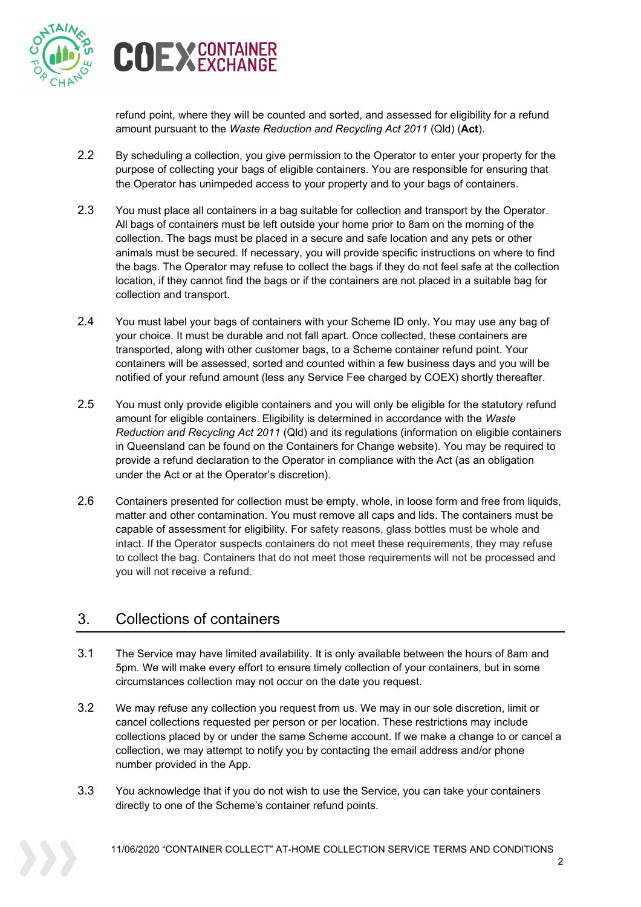



refund point, where they will be counted and sorted, and assessed for eligibility for a refund amount pursuant to the *Waste Reduction and Recycling Act 2011* (Qld) (**Act**).

- 2.2 By scheduling a collection, you give permission to the Operator to enter your property for the purpose of collecting your bags of eligible containers. You are responsible for ensuring that the Operator has unimpeded access to your property and to your bags of containers.
- 2.3 You must place all containers in a bag suitable for collection and transport by the Operator. All bags of containers must be left outside your home prior to 8am on the morning of the collection. The bags must be placed in a secure and safe location and any pets or other animals must be secured. If necessary, you will provide specific instructions on where to find the bags. The Operator may refuse to collect the bags if they do not feel safe at the collection location, if they cannot find the bags or if the containers are not placed in a suitable bag for collection and transport.
- 2.4 You must label your bags of containers with your Scheme ID only. You may use any bag of your choice. It must be durable and not fall apart. Once collected, these containers are transported, along with other customer bags, to a Scheme container refund point. Your containers will be assessed, sorted and counted within a few business days and you will be notified of your refund amount (less any Service Fee charged by COEX) shortly thereafter.
- 2.5 You must only provide eligible containers and you will only be eligible for the statutory refund amount for eligible containers. Eligibility is determined in accordance with the *Waste Reduction and Recycling Act 2011* (Qld) and its regulations (information on eligible containers in Queensland can be found on the Containers for Change website). You may be required to provide a refund declaration to the Operator in compliance with the Act (as an obligation under the Act or at the Operator's discretion).
- 2.6 Containers presented for collection must be empty, whole, in loose form and free from liquids, matter and other contamination. You must remove all caps and lids. The containers must be capable of assessment for eligibility. For safety reasons, glass bottles must be whole and intact. If the Operator suspects containers do not meet these requirements, they may refuse to collect the bag. Containers that do not meet those requirements will not be processed and you will not receive a refund.

# 3. Collections of containers

- 3.1 The Service may have limited availability. It is only available between the hours of 8am and 5pm. We will make every effort to ensure timely collection of your containers, but in some circumstances collection may not occur on the date you request.
- 3.2 We may refuse any collection you request from us. We may in our sole discretion, limit or cancel collections requested per person or per location. These restrictions may include collections placed by or under the same Scheme account. If we make a change to or cancel a collection, we may attempt to notify you by contacting the email address and/or phone number provided in the App.
- 3.3 You acknowledge that if you do not wish to use the Service, you can take your containers directly to one of the Scheme's container refund points.

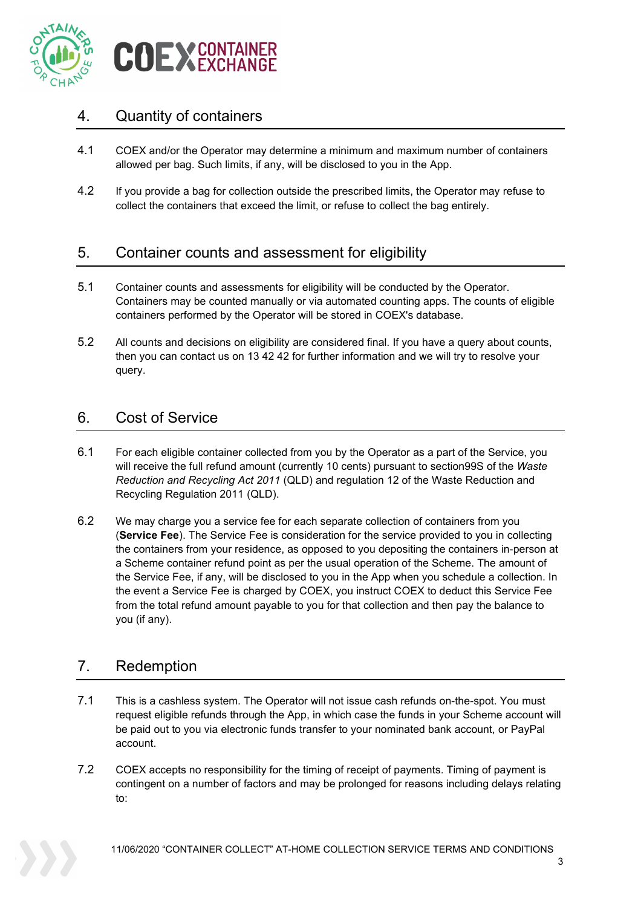

### 4. Quantity of containers

- 4.1 COEX and/or the Operator may determine a minimum and maximum number of containers allowed per bag. Such limits, if any, will be disclosed to you in the App.
- 4.2 If you provide a bag for collection outside the prescribed limits, the Operator may refuse to collect the containers that exceed the limit, or refuse to collect the bag entirely.

### 5. Container counts and assessment for eligibility

- 5.1 Container counts and assessments for eligibility will be conducted by the Operator. Containers may be counted manually or via automated counting apps. The counts of eligible containers performed by the Operator will be stored in COEX's database.
- 5.2 All counts and decisions on eligibility are considered final. If you have a query about counts, then you can contact us on 13 42 42 for further information and we will try to resolve your query.

### 6. Cost of Service

- 6.1 For each eligible container collected from you by the Operator as a part of the Service, you will receive the full refund amount (currently 10 cents) pursuant to section99S of the *Waste Reduction and Recycling Act 2011* (QLD) and regulation 12 of the Waste Reduction and Recycling Regulation 2011 (QLD).
- 6.2 We may charge you a service fee for each separate collection of containers from you (**Service Fee**). The Service Fee is consideration for the service provided to you in collecting the containers from your residence, as opposed to you depositing the containers in-person at a Scheme container refund point as per the usual operation of the Scheme. The amount of the Service Fee, if any, will be disclosed to you in the App when you schedule a collection. In the event a Service Fee is charged by COEX, you instruct COEX to deduct this Service Fee from the total refund amount payable to you for that collection and then pay the balance to you (if any).

# 7. Redemption

- 7.1 This is a cashless system. The Operator will not issue cash refunds on-the-spot. You must request eligible refunds through the App, in which case the funds in your Scheme account will be paid out to you via electronic funds transfer to your nominated bank account, or PayPal account.
- 7.2 COEX accepts no responsibility for the timing of receipt of payments. Timing of payment is contingent on a number of factors and may be prolonged for reasons including delays relating to:

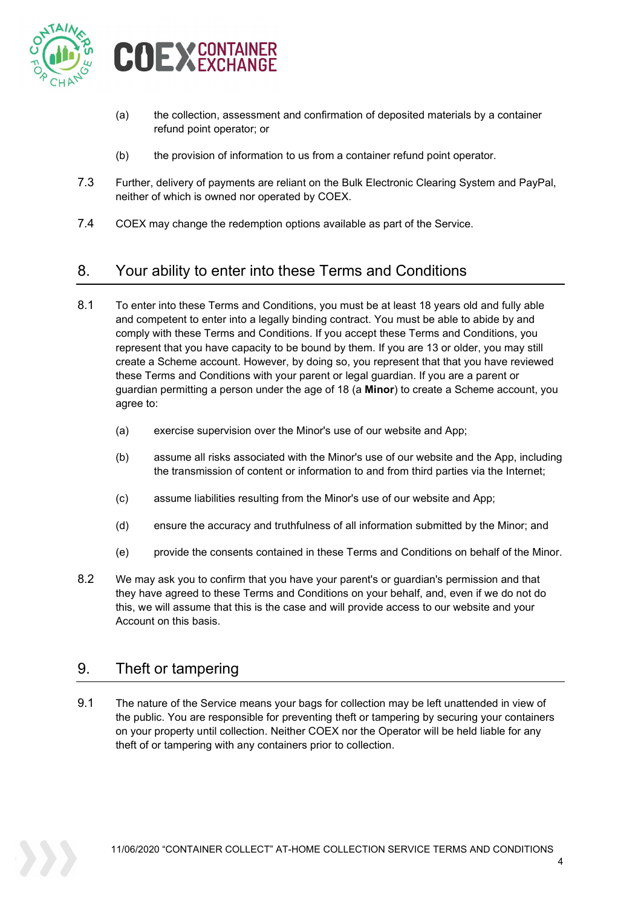

- (a) the collection, assessment and confirmation of deposited materials by a container refund point operator; or
- (b) the provision of information to us from a container refund point operator.
- 7.3 Further, delivery of payments are reliant on the Bulk Electronic Clearing System and PayPal, neither of which is owned nor operated by COEX.
- 7.4 COEX may change the redemption options available as part of the Service.

# 8. Your ability to enter into these Terms and Conditions

- 8.1 To enter into these Terms and Conditions, you must be at least 18 years old and fully able and competent to enter into a legally binding contract. You must be able to abide by and comply with these Terms and Conditions. If you accept these Terms and Conditions, you represent that you have capacity to be bound by them. If you are 13 or older, you may still create a Scheme account. However, by doing so, you represent that that you have reviewed these Terms and Conditions with your parent or legal guardian. If you are a parent or guardian permitting a person under the age of 18 (a **Minor**) to create a Scheme account, you agree to:
	- (a) exercise supervision over the Minor's use of our website and App;
	- (b) assume all risks associated with the Minor's use of our website and the App, including the transmission of content or information to and from third parties via the Internet;
	- (c) assume liabilities resulting from the Minor's use of our website and App;
	- (d) ensure the accuracy and truthfulness of all information submitted by the Minor; and
	- (e) provide the consents contained in these Terms and Conditions on behalf of the Minor.
- 8.2 We may ask you to confirm that you have your parent's or guardian's permission and that they have agreed to these Terms and Conditions on your behalf, and, even if we do not do this, we will assume that this is the case and will provide access to our website and your Account on this basis.

### 9. Theft or tampering

9.1 The nature of the Service means your bags for collection may be left unattended in view of the public. You are responsible for preventing theft or tampering by securing your containers on your property until collection. Neither COEX nor the Operator will be held liable for any theft of or tampering with any containers prior to collection.

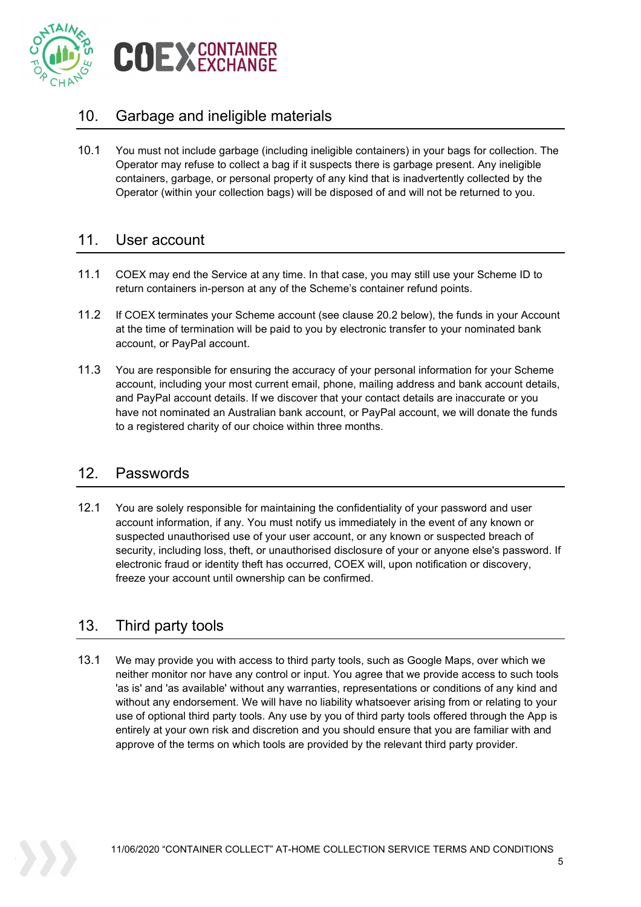

# 10. Garbage and ineligible materials

10.1 You must not include garbage (including ineligible containers) in your bags for collection. The Operator may refuse to collect a bag if it suspects there is garbage present. Any ineligible containers, garbage, or personal property of any kind that is inadvertently collected by the Operator (within your collection bags) will be disposed of and will not be returned to you.

#### 11. User account

- 11.1 COEX may end the Service at any time. In that case, you may still use your Scheme ID to return containers in-person at any of the Scheme's container refund points.
- 11.2 If COEX terminates your Scheme account (see clause [20.2](#page-8-0) below), the funds in your Account at the time of termination will be paid to you by electronic transfer to your nominated bank account, or PayPal account.
- 11.3 You are responsible for ensuring the accuracy of your personal information for your Scheme account, including your most current email, phone, mailing address and bank account details, and PayPal account details. If we discover that your contact details are inaccurate or you have not nominated an Australian bank account, or PayPal account, we will donate the funds to a registered charity of our choice within three months.

### 12. Passwords

12.1 You are solely responsible for maintaining the confidentiality of your password and user account information, if any. You must notify us immediately in the event of any known or suspected unauthorised use of your user account, or any known or suspected breach of security, including loss, theft, or unauthorised disclosure of your or anyone else's password. If electronic fraud or identity theft has occurred, COEX will, upon notification or discovery, freeze your account until ownership can be confirmed.

# 13. Third party tools

13.1 We may provide you with access to third party tools, such as Google Maps, over which we neither monitor nor have any control or input. You agree that we provide access to such tools 'as is' and 'as available' without any warranties, representations or conditions of any kind and without any endorsement. We will have no liability whatsoever arising from or relating to your use of optional third party tools. Any use by you of third party tools offered through the App is entirely at your own risk and discretion and you should ensure that you are familiar with and approve of the terms on which tools are provided by the relevant third party provider.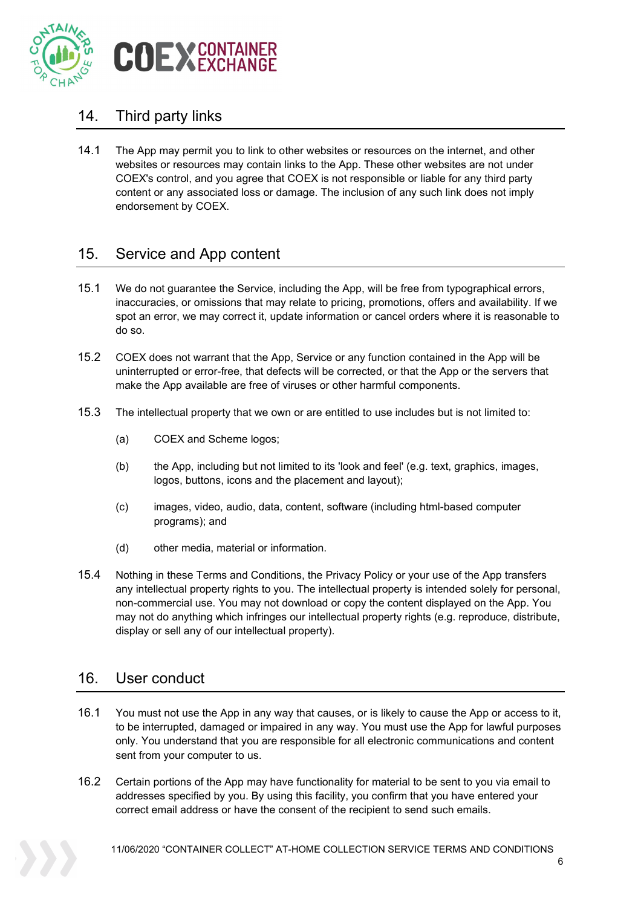

### 14. Third party links

14.1 The App may permit you to link to other websites or resources on the internet, and other websites or resources may contain links to the App. These other websites are not under COEX's control, and you agree that COEX is not responsible or liable for any third party content or any associated loss or damage. The inclusion of any such link does not imply endorsement by COEX.

### 15. Service and App content

- 15.1 We do not guarantee the Service, including the App, will be free from typographical errors, inaccuracies, or omissions that may relate to pricing, promotions, offers and availability. If we spot an error, we may correct it, update information or cancel orders where it is reasonable to do so.
- 15.2 COEX does not warrant that the App, Service or any function contained in the App will be uninterrupted or error-free, that defects will be corrected, or that the App or the servers that make the App available are free of viruses or other harmful components.
- 15.3 The intellectual property that we own or are entitled to use includes but is not limited to:
	- (a) COEX and Scheme logos;
	- (b) the App, including but not limited to its 'look and feel' (e.g. text, graphics, images, logos, buttons, icons and the placement and layout);
	- (c) images, video, audio, data, content, software (including html-based computer programs); and
	- (d) other media, material or information.
- 15.4 Nothing in these Terms and Conditions, the Privacy Policy or your use of the App transfers any intellectual property rights to you. The intellectual property is intended solely for personal, non-commercial use. You may not download or copy the content displayed on the App. You may not do anything which infringes our intellectual property rights (e.g. reproduce, distribute, display or sell any of our intellectual property).

#### 16. User conduct

- 16.1 You must not use the App in any way that causes, or is likely to cause the App or access to it, to be interrupted, damaged or impaired in any way. You must use the App for lawful purposes only. You understand that you are responsible for all electronic communications and content sent from your computer to us.
- 16.2 Certain portions of the App may have functionality for material to be sent to you via email to addresses specified by you. By using this facility, you confirm that you have entered your correct email address or have the consent of the recipient to send such emails.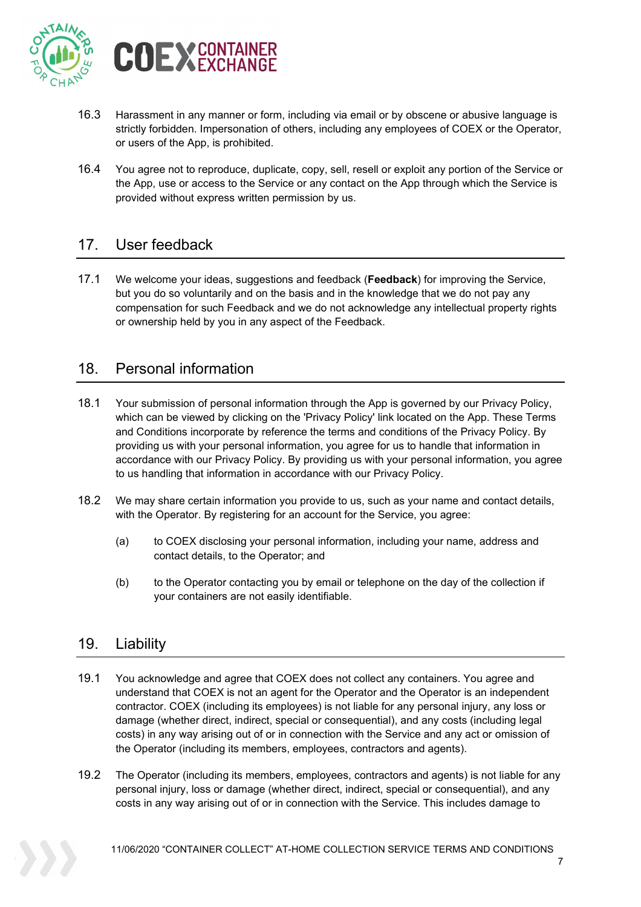

- 16.3 Harassment in any manner or form, including via email or by obscene or abusive language is strictly forbidden. Impersonation of others, including any employees of COEX or the Operator, or users of the App, is prohibited.
- 16.4 You agree not to reproduce, duplicate, copy, sell, resell or exploit any portion of the Service or the App, use or access to the Service or any contact on the App through which the Service is provided without express written permission by us.

### 17. User feedback

17.1 We welcome your ideas, suggestions and feedback (**Feedback**) for improving the Service, but you do so voluntarily and on the basis and in the knowledge that we do not pay any compensation for such Feedback and we do not acknowledge any intellectual property rights or ownership held by you in any aspect of the Feedback.

### 18. Personal information

- 18.1 Your submission of personal information through the App is governed by our Privacy Policy, which can be viewed by clicking on the 'Privacy Policy' link located on the App. These Terms and Conditions incorporate by reference the terms and conditions of the Privacy Policy. By providing us with your personal information, you agree for us to handle that information in accordance with our Privacy Policy. By providing us with your personal information, you agree to us handling that information in accordance with our Privacy Policy.
- 18.2 We may share certain information you provide to us, such as your name and contact details, with the Operator. By registering for an account for the Service, you agree:
	- (a) to COEX disclosing your personal information, including your name, address and contact details, to the Operator; and
	- (b) to the Operator contacting you by email or telephone on the day of the collection if your containers are not easily identifiable.

### 19. Liability

- 19.1 You acknowledge and agree that COEX does not collect any containers. You agree and understand that COEX is not an agent for the Operator and the Operator is an independent contractor. COEX (including its employees) is not liable for any personal injury, any loss or damage (whether direct, indirect, special or consequential), and any costs (including legal costs) in any way arising out of or in connection with the Service and any act or omission of the Operator (including its members, employees, contractors and agents).
- 19.2 The Operator (including its members, employees, contractors and agents) is not liable for any personal injury, loss or damage (whether direct, indirect, special or consequential), and any costs in any way arising out of or in connection with the Service. This includes damage to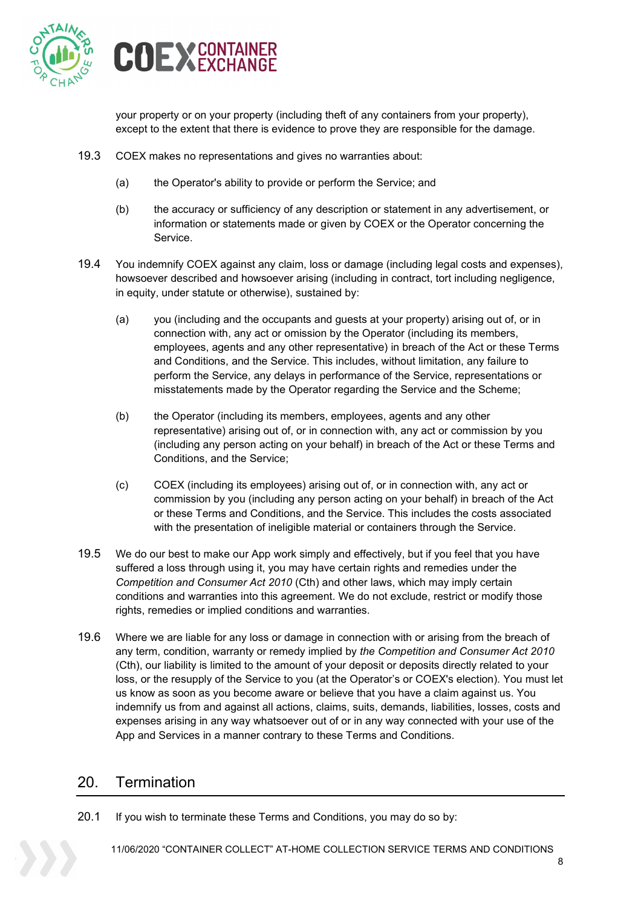



your property or on your property (including theft of any containers from your property), except to the extent that there is evidence to prove they are responsible for the damage.

- 19.3 COEX makes no representations and gives no warranties about:
	- (a) the Operator's ability to provide or perform the Service; and
	- (b) the accuracy or sufficiency of any description or statement in any advertisement, or information or statements made or given by COEX or the Operator concerning the Service.
- 19.4 You indemnify COEX against any claim, loss or damage (including legal costs and expenses), howsoever described and howsoever arising (including in contract, tort including negligence, in equity, under statute or otherwise), sustained by:
	- (a) you (including and the occupants and guests at your property) arising out of, or in connection with, any act or omission by the Operator (including its members, employees, agents and any other representative) in breach of the Act or these Terms and Conditions, and the Service. This includes, without limitation, any failure to perform the Service, any delays in performance of the Service, representations or misstatements made by the Operator regarding the Service and the Scheme;
	- (b) the Operator (including its members, employees, agents and any other representative) arising out of, or in connection with, any act or commission by you (including any person acting on your behalf) in breach of the Act or these Terms and Conditions, and the Service;
	- (c) COEX (including its employees) arising out of, or in connection with, any act or commission by you (including any person acting on your behalf) in breach of the Act or these Terms and Conditions, and the Service. This includes the costs associated with the presentation of ineligible material or containers through the Service.
- 19.5 We do our best to make our App work simply and effectively, but if you feel that you have suffered a loss through using it, you may have certain rights and remedies under the *Competition and Consumer Act 2010* (Cth) and other laws, which may imply certain conditions and warranties into this agreement. We do not exclude, restrict or modify those rights, remedies or implied conditions and warranties.
- 19.6 Where we are liable for any loss or damage in connection with or arising from the breach of any term, condition, warranty or remedy implied by *the Competition and Consumer Act 2010* (Cth), our liability is limited to the amount of your deposit or deposits directly related to your loss, or the resupply of the Service to you (at the Operator's or COEX's election). You must let us know as soon as you become aware or believe that you have a claim against us. You indemnify us from and against all actions, claims, suits, demands, liabilities, losses, costs and expenses arising in any way whatsoever out of or in any way connected with your use of the App and Services in a manner contrary to these Terms and Conditions.

#### 20. Termination

20.1 If you wish to terminate these Terms and Conditions, you may do so by: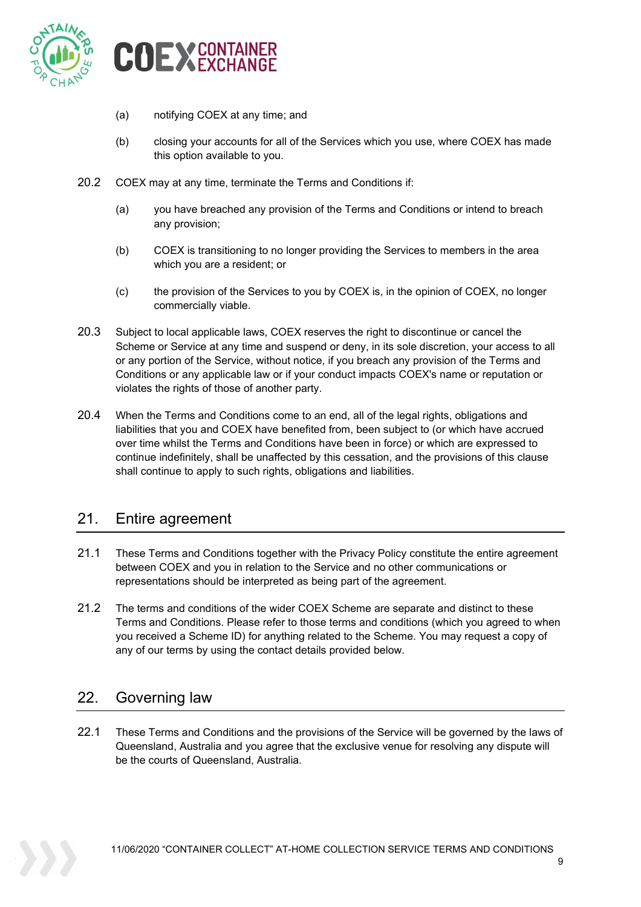

- (a) notifying COEX at any time; and
- (b) closing your accounts for all of the Services which you use, where COEX has made this option available to you.
- <span id="page-8-0"></span>20.2 COEX may at any time, terminate the Terms and Conditions if:
	- (a) you have breached any provision of the Terms and Conditions or intend to breach any provision;
	- (b) COEX is transitioning to no longer providing the Services to members in the area which you are a resident; or
	- (c) the provision of the Services to you by COEX is, in the opinion of COEX, no longer commercially viable.
- 20.3 Subject to local applicable laws, COEX reserves the right to discontinue or cancel the Scheme or Service at any time and suspend or deny, in its sole discretion, your access to all or any portion of the Service, without notice, if you breach any provision of the Terms and Conditions or any applicable law or if your conduct impacts COEX's name or reputation or violates the rights of those of another party.
- 20.4 When the Terms and Conditions come to an end, all of the legal rights, obligations and liabilities that you and COEX have benefited from, been subject to (or which have accrued over time whilst the Terms and Conditions have been in force) or which are expressed to continue indefinitely, shall be unaffected by this cessation, and the provisions of this clause shall continue to apply to such rights, obligations and liabilities.

### 21. Entire agreement

- 21.1 These Terms and Conditions together with the Privacy Policy constitute the entire agreement between COEX and you in relation to the Service and no other communications or representations should be interpreted as being part of the agreement.
- 21.2 The terms and conditions of the wider COEX Scheme are separate and distinct to these Terms and Conditions. Please refer to those terms and conditions (which you agreed to when you received a Scheme ID) for anything related to the Scheme. You may request a copy of any of our terms by using the contact details provided below.

### 22. Governing law

22.1 These Terms and Conditions and the provisions of the Service will be governed by the laws of Queensland, Australia and you agree that the exclusive venue for resolving any dispute will be the courts of Queensland, Australia.